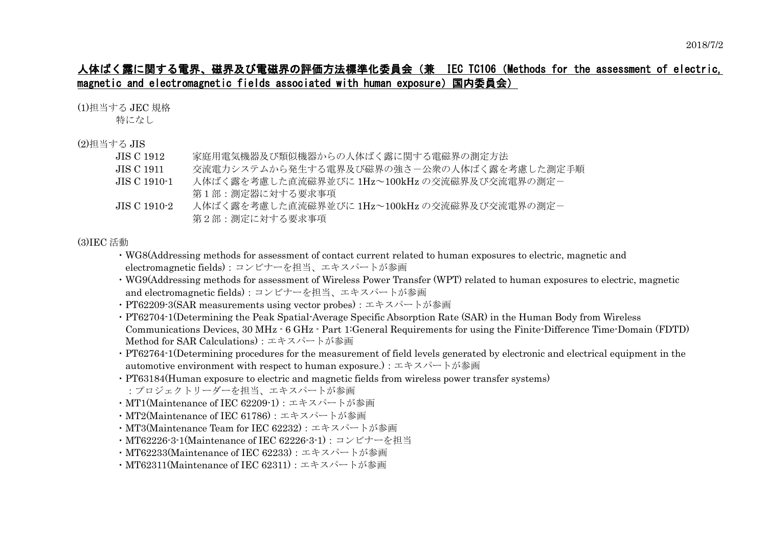## 人体ばく露に関する電界、磁界及び電磁界の評価方法標準化委員会(兼 IEC TC106(Methods for the assessment of electric, magnetic and electromagnetic fields associated with human exposure)国内委員会)

(1)担当する JEC 規格

特になし

## (2)担当する JIS

| JIS C 1912-    | 家庭用電気機器及び類似機器からの人体ばく露に関する電磁界の測定方法            |
|----------------|----------------------------------------------|
| JIS C 1911.    | 交流電力システムから発生する電界及び磁界の強さ-公衆の人体ばく露を考慮した測定手順    |
| JIS C 1910-1   | 人体ばく露を考慮した直流磁界並びに 1Hz~100kHz の交流磁界及び交流電界の測定- |
|                | 第1部 : 測定器に対する要求事項                            |
| JIS C 1910-2 . | 人体ばく露を考慮した直流磁界並びに 1Hz~100kHz の交流磁界及び交流電界の測定- |
|                | 第2部:測定に対する要求事項                               |

## (3)IEC 活動

- ・WG8(Addressing methods for assessment of contact current related to human exposures to electric, magnetic and electromagnetic fields):コンビナーを担当、エキスパートが参画
- ・WG9(Addressing methods for assessment of Wireless Power Transfer (WPT) related to human exposures to electric, magnetic and electromagnetic fields):コンビナーを担当、エキスパートが参画
- ・PT62209-3(SAR measurements using vector probes):エキスパートが参画
- ・PT62704-1(Determining the Peak Spatial-Average Specific Absorption Rate (SAR) in the Human Body from Wireless Communications Devices, 30 MHz - 6 GHz - Part 1:General Requirements for using the Finite-Difference Time-Domain (FDTD) Method for SAR Calculations):エキスパートが参画
- ・PT62764-1(Determining procedures for the measurement of field levels generated by electronic and electrical equipment in the automotive environment with respect to human exposure.):エキスパートが参画
- ・PT63184(Human exposure to electric and magnetic fields from wireless power transfer systems) :プロジェクトリーダーを担当、エキスパートが参画
- ・MT1(Maintenance of IEC 62209-1):エキスパートが参画
- ・MT2(Maintenance of IEC 61786):エキスパートが参画
- ・MT3(Maintenance Team for IEC 62232):エキスパートが参画
- ・MT62226-3-1(Maintenance of IEC 62226-3-1):コンビナーを担当
- ・MT62233(Maintenance of IEC 62233):エキスパートが参画
- ・MT62311(Maintenance of IEC 62311):エキスパートが参画